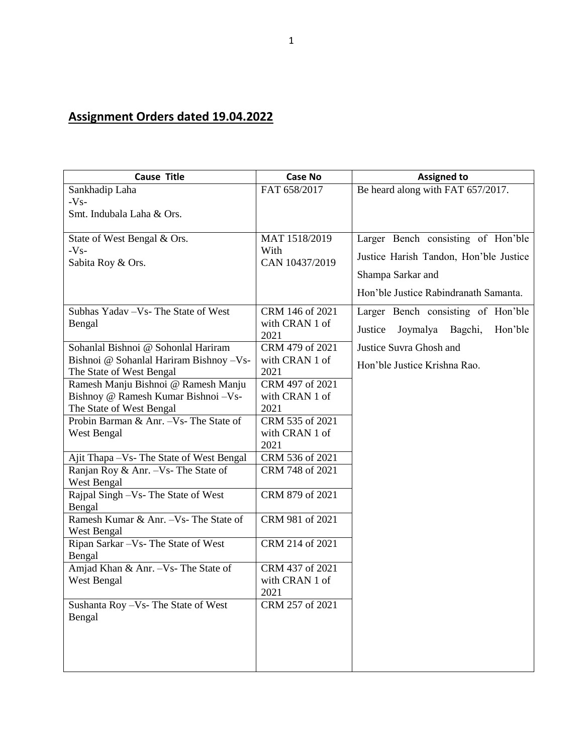## **Assignment Orders dated 19.04.2022**

| <b>Cause Title</b>                        | <b>Case No</b>         | <b>Assigned to</b>                     |
|-------------------------------------------|------------------------|----------------------------------------|
| Sankhadip Laha                            | FAT 658/2017           | Be heard along with FAT 657/2017.      |
| $-Vs-$                                    |                        |                                        |
| Smt. Indubala Laha & Ors.                 |                        |                                        |
|                                           |                        |                                        |
| State of West Bengal & Ors.               | MAT 1518/2019          | Larger Bench consisting of Hon'ble     |
| $-Vs-$<br>Sabita Roy & Ors.               | With<br>CAN 10437/2019 | Justice Harish Tandon, Hon'ble Justice |
|                                           |                        | Shampa Sarkar and                      |
|                                           |                        | Hon'ble Justice Rabindranath Samanta.  |
| Subhas Yadav - Vs- The State of West      | CRM 146 of 2021        | Larger Bench consisting of Hon'ble     |
| Bengal                                    | with CRAN 1 of         |                                        |
|                                           | 2021                   | Joymalya Bagchi,<br>Justice<br>Hon'ble |
| Sohanlal Bishnoi @ Sohonlal Hariram       | CRM 479 of 2021        | Justice Suvra Ghosh and                |
| Bishnoi @ Sohanlal Hariram Bishnoy - Vs-  | with CRAN 1 of         | Hon'ble Justice Krishna Rao.           |
| The State of West Bengal                  | 2021                   |                                        |
| Ramesh Manju Bishnoi @ Ramesh Manju       | CRM 497 of 2021        |                                        |
| Bishnoy @ Ramesh Kumar Bishnoi - Vs-      | with CRAN 1 of         |                                        |
| The State of West Bengal                  | 2021                   |                                        |
| Probin Barman & Anr. - Vs- The State of   | CRM 535 of 2021        |                                        |
| West Bengal                               | with CRAN 1 of<br>2021 |                                        |
| Ajit Thapa - Vs- The State of West Bengal | CRM 536 of 2021        |                                        |
| Ranjan Roy & Anr. - Vs- The State of      | CRM 748 of 2021        |                                        |
| West Bengal                               |                        |                                        |
| Rajpal Singh -Vs- The State of West       | CRM 879 of 2021        |                                        |
| Bengal                                    |                        |                                        |
| Ramesh Kumar & Anr. - Vs- The State of    | CRM 981 of 2021        |                                        |
| West Bengal                               |                        |                                        |
| Ripan Sarkar - Vs- The State of West      | CRM 214 of 2021        |                                        |
| Bengal                                    |                        |                                        |
| Amjad Khan & Anr. - Vs- The State of      | CRM 437 of 2021        |                                        |
| West Bengal                               | with CRAN 1 of         |                                        |
|                                           | 2021                   |                                        |
| Sushanta Roy - Vs- The State of West      | CRM 257 of 2021        |                                        |
| Bengal                                    |                        |                                        |
|                                           |                        |                                        |
|                                           |                        |                                        |
|                                           |                        |                                        |